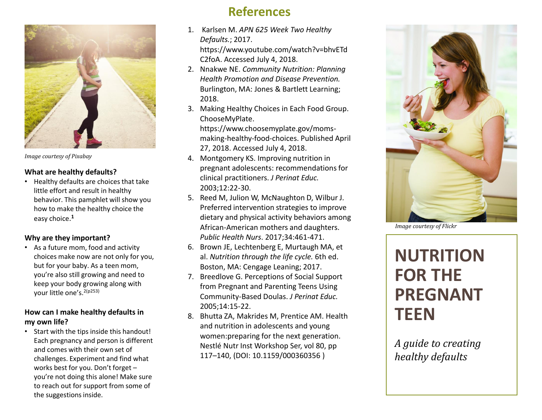

*Image courtesy of Pixabay*

### **What are healthy defaults?**

• Healthy defaults are choices that take little effort and result in healthy behavior. This pamphlet will show you how to make the healthy choice the easy choice. **1**

### **Why are they important?**

• As a future mom, food and activity choices make now are not only for you, but for your baby. As a teen mom, you're also still growing and need to keep your body growing along with your little one's.<sup>2(p253)</sup>

### **How can I make healthy defaults in my own life?**

• Start with the tips inside this handout! Each pregnancy and person is different and comes with their own set of challenges. Experiment and find what works best for you. Don't forget – you're not doing this alone! Make sure to reach out for support from some of the suggestions inside.

### **References**

- 1. Karlsen M. *APN 625 Week Two Healthy Defaults.*; 2017. https://www.youtube.com/watch?v=bhvETd C2foA. Accessed July 4, 2018.
- 2. Nnakwe NE. *Community Nutrition: Planning Health Promotion and Disease Prevention.*  Burlington, MA: Jones & Bartlett Learning; 2018.
- 3. Making Healthy Choices in Each Food Group. ChooseMyPlate.

https://www.choosemyplate.gov/momsmaking-healthy-food-choices. Published April 27, 2018. Accessed July 4, 2018.

- 4. Montgomery KS. Improving nutrition in pregnant adolescents: recommendations for clinical practitioners. *J Perinat Educ.* 2003;12:22-30.
- 5. Reed M, Julion W, McNaughton D, Wilbur J. Preferred intervention strategies to improve dietary and physical activity behaviors among African‐American mothers and daughters. *Public Health Nurs*. 2017;34:461-471.
- 6. Brown JE, Lechtenberg E, Murtaugh MA, et al. *Nutrition through the life cycle.* 6th ed. Boston, MA: Cengage Leaning; 2017.
- 7. Breedlove G. Perceptions of Social Support from Pregnant and Parenting Teens Using Community-Based Doulas. *J Perinat Educ.*  2005;14:15-22.
- 8. Bhutta ZA, Makrides M, Prentice AM. Health and nutrition in adolescents and young women:preparing for the next generation. Nestlé Nutr Inst Workshop Ser, vol 80, pp 117–140, (DOI: 10.1159/000360356 )



*Image courtesy of Flickr*

# **NUTRITION FOR THE PREGNANT TEEN**

*A guide to creating healthy defaults*